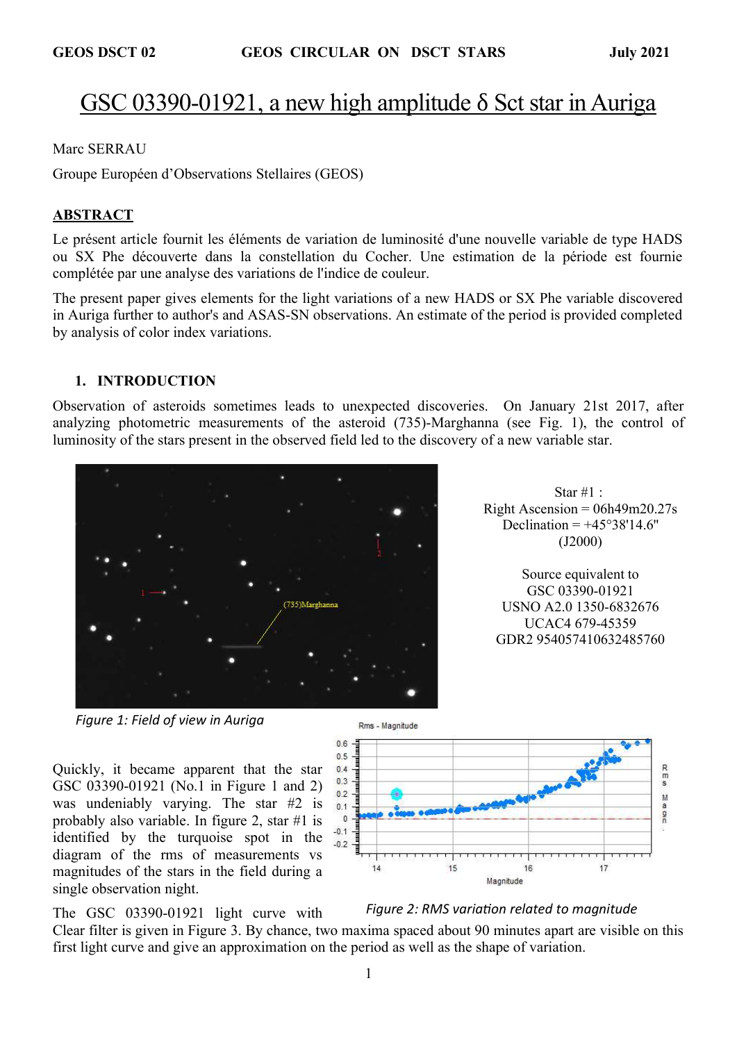# GSC 03390-01921, a new high amplitude δ Sct star in Auriga

Marc SERRAU

Groupe Européen d'Observations Stellaires (GEOS)

#### ABSTRACT

Le présent article fournit les éléments de variation de luminosité d'une nouvelle variable de type HADS ou SX Phe découverte dans la constellation du Cocher. Une estimation de la période est fournie complétée par une analyse des variations de l'indice de couleur.

The present paper gives elements for the light variations of a new HADS or SX Phe variable discovered in Auriga further to author's and ASAS-SN observations. An estimate of the period is provided completed by analysis of color index variations.

#### 1. INTRODUCTION

Observation of asteroids sometimes leads to unexpected discoveries. On January 21st 2017, after analyzing photometric measurements of the asteroid (735)-Marghanna (see Fig. 1), the control of luminosity of the stars present in the observed field led to the discovery of a new variable star.





Source equivalent to GSC 03390-01921 USNO A2.0 1350-6832676 UCAC4 679-45359 GDR2 954057410632485760



Quickly, it became apparent that the star GSC 03390-01921 (No.1 in Figure 1 and 2) was undeniably varying. The star #2 is probably also variable. In figure 2, star #1 is identified by the turquoise spot in the diagram of the rms of measurements vs magnitudes of the stars in the field during a single observation night.

The GSC 03390-01921 light curve with



Figure 2: RMS variation related to magnitude

Clear filter is given in Figure 3. By chance, two maxima spaced about 90 minutes apart are visible on this first light curve and give an approximation on the period as well as the shape of variation.

Rms - Magnitude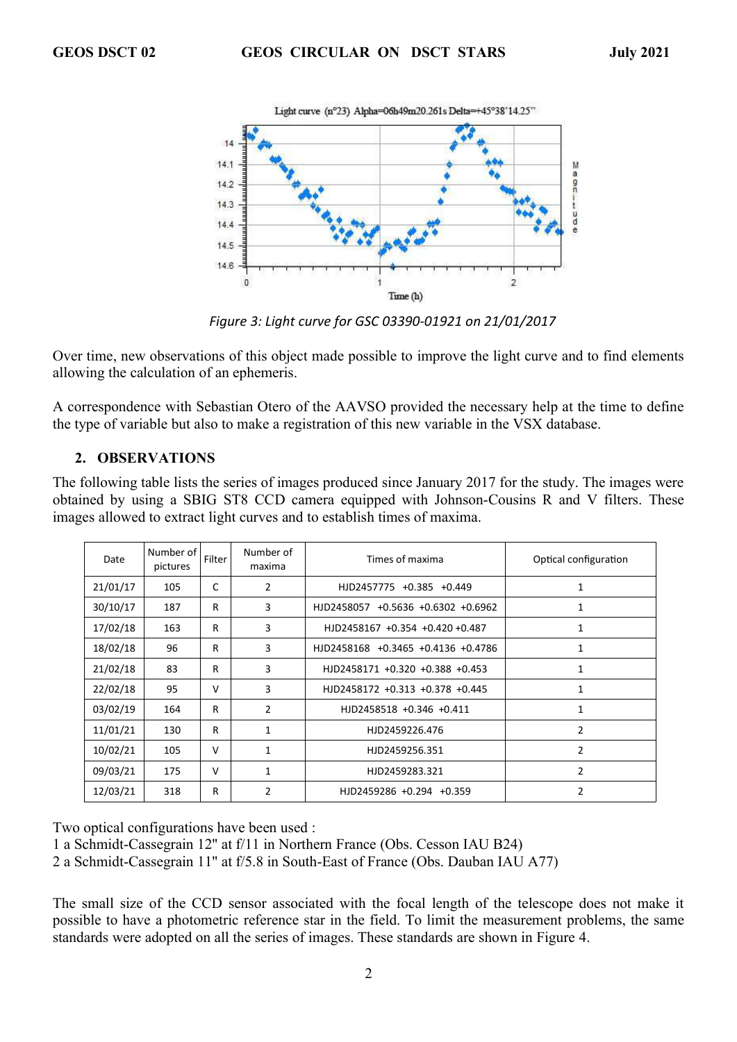

Figure 3: Light curve for GSC 03390-01921 on 21/01/2017

Over time, new observations of this object made possible to improve the light curve and to find elements allowing the calculation of an ephemeris.

A correspondence with Sebastian Otero of the AAVSO provided the necessary help at the time to define the type of variable but also to make a registration of this new variable in the VSX database.

#### 2. OBSERVATIONS

The following table lists the series of images produced since January 2017 for the study. The images were obtained by using a SBIG ST8 CCD camera equipped with Johnson-Cousins R and V filters. These images allowed to extract light curves and to establish times of maxima.

| Date     | Number of<br>pictures | Filter | Number of<br>maxima | Times of maxima                              | Optical configuration |
|----------|-----------------------|--------|---------------------|----------------------------------------------|-----------------------|
| 21/01/17 | 105                   | C      | 2                   | HJD2457775 +0.385 +0.449                     | 1                     |
| 30/10/17 | 187                   | R      | 3                   | HJD2458057 +0.5636 +0.6302 +0.6962           |                       |
| 17/02/18 | 163                   | R      | 3                   | HJD2458167 +0.354 +0.420 +0.487              |                       |
| 18/02/18 | 96                    | R      | 3                   | HJD2458168 +0.3465 +0.4136 +0.4786           |                       |
| 21/02/18 | 83                    | R      | 3                   | HJD2458171 +0.320 +0.388 +0.453              | 1                     |
| 22/02/18 | 95                    | v      | 3                   | HJD2458172 +0.313 +0.378 +0.445              | 1                     |
| 03/02/19 | 164                   | R      | 2                   | HJD2458518 +0.346 +0.411<br>1                |                       |
| 11/01/21 | 130                   | R      | $\mathbf{1}$        | HJD2459226.476                               | 2                     |
| 10/02/21 | 105                   | $\vee$ | $\mathbf{1}$        | HJD2459256.351                               | 2                     |
| 09/03/21 | 175                   | $\vee$ | 1                   | 2<br>HJD2459283.321                          |                       |
| 12/03/21 | 318                   | R      | $\overline{2}$      | $\overline{2}$<br>$HJD2459286 +0.294 +0.359$ |                       |

Two optical configurations have been used :

1 a Schmidt-Cassegrain 12'' at f/11 in Northern France (Obs. Cesson IAU B24)

2 a Schmidt-Cassegrain 11'' at f/5.8 in South-East of France (Obs. Dauban IAU A77)

The small size of the CCD sensor associated with the focal length of the telescope does not make it possible to have a photometric reference star in the field. To limit the measurement problems, the same standards were adopted on all the series of images. These standards are shown in Figure 4.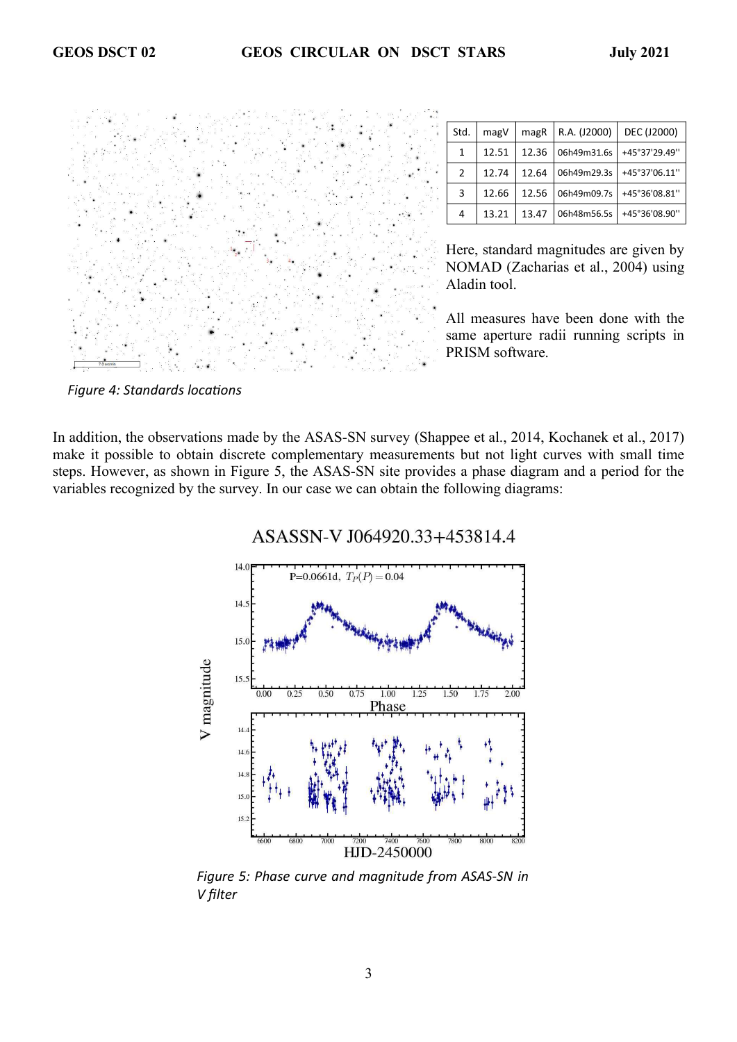

| Std.          | magV  | magR  | R.A. (J2000) | DEC (J2000)   |
|---------------|-------|-------|--------------|---------------|
| 1             | 12.51 | 12.36 | 06h49m31.6s  | +45°37'29.49" |
| $\mathcal{P}$ | 12.74 | 12.64 | 06h49m29.3s  | +45°37'06.11" |
| 3             | 12.66 | 12.56 | 06h49m09.7s  | +45°36'08.81" |
| 4             | 13.21 | 13.47 | 06h48m56.5s  | +45°36'08.90" |

Here, standard magnitudes are given by NOMAD (Zacharias et al., 2004) using Aladin tool.

All measures have been done with the same aperture radii running scripts in PRISM software.

Figure 4: Standards locations

In addition, the observations made by the ASAS-SN survey (Shappee et al., 2014, Kochanek et al., 2017) make it possible to obtain discrete complementary measurements but not light curves with small time steps. However, as shown in Figure 5, the ASAS-SN site provides a phase diagram and a period for the variables recognized by the survey. In our case we can obtain the following diagrams:



ASASSN-V J064920.33+453814.4

Figure 5: Phase curve and magnitude from ASAS-SN in V filter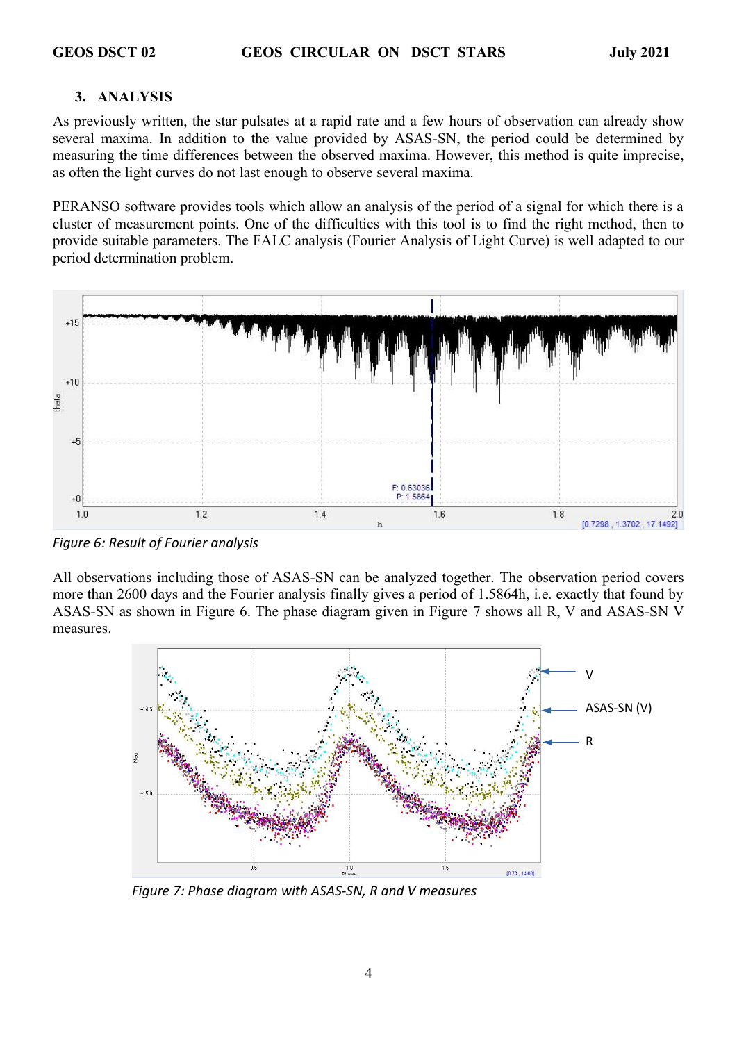## 3. ANALYSIS

As previously written, the star pulsates at a rapid rate and a few hours of observation can already show several maxima. In addition to the value provided by ASAS-SN, the period could be determined by measuring the time differences between the observed maxima. However, this method is quite imprecise, as often the light curves do not last enough to observe several maxima.

PERANSO software provides tools which allow an analysis of the period of a signal for which there is a cluster of measurement points. One of the difficulties with this tool is to find the right method, then to provide suitable parameters. The FALC analysis (Fourier Analysis of Light Curve) is well adapted to our period determination problem.



Figure 6: Result of Fourier analysis

All observations including those of ASAS-SN can be analyzed together. The observation period covers more than 2600 days and the Fourier analysis finally gives a period of 1.5864h, i.e. exactly that found by ASAS-SN as shown in Figure 6. The phase diagram given in Figure 7 shows all R, V and ASAS-SN V measures.



Figure 7: Phase diagram with ASAS-SN, R and V measures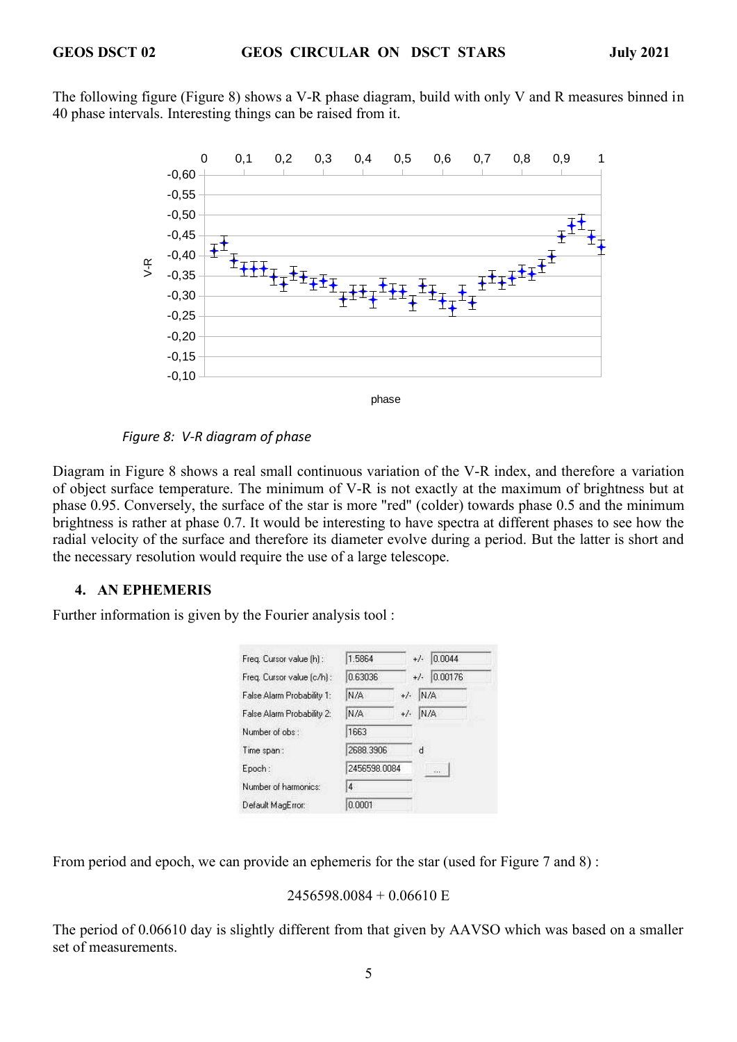The following figure (Figure 8) shows a V-R phase diagram, build with only V and R measures binned in 40 phase intervals. Interesting things can be raised from it.



#### Figure 8: V-R diagram of phase

Diagram in Figure 8 shows a real small continuous variation of the V-R index, and therefore a variation of object surface temperature. The minimum of V-R is not exactly at the maximum of brightness but at phase 0.95. Conversely, the surface of the star is more "red" (colder) towards phase 0.5 and the minimum brightness is rather at phase 0.7. It would be interesting to have spectra at different phases to see how the radial velocity of the surface and therefore its diameter evolve during a period. But the latter is short and the necessary resolution would require the use of a large telescope.

## 4. AN EPHEMERIS

Further information is given by the Fourier analysis tool :

| Freq. Cursor value [h] :   | 1.5864       |       | 0.0044<br>$+/-$  |
|----------------------------|--------------|-------|------------------|
| Freq. Cursor value (c/h) : | 0.63036      |       | 0.00176<br>$+/-$ |
| False Alarm Probability 1: | N/A          | $+/-$ | N/A              |
| False Alarm Probability 2: | N/A          | $+/-$ | N/A              |
| Number of obs:             | 1663         |       |                  |
| Time span:                 | 2688.3906    |       | d                |
| Epoch:                     | 2456598.0084 |       |                  |
| Number of harmonics:       | 4            |       |                  |
| Default MagError:          | 0.0001       |       |                  |

From period and epoch, we can provide an ephemeris for the star (used for Figure 7 and 8) :

```
2456598.0084 + 0.06610 E
```
The period of 0.06610 day is slightly different from that given by AAVSO which was based on a smaller set of measurements.